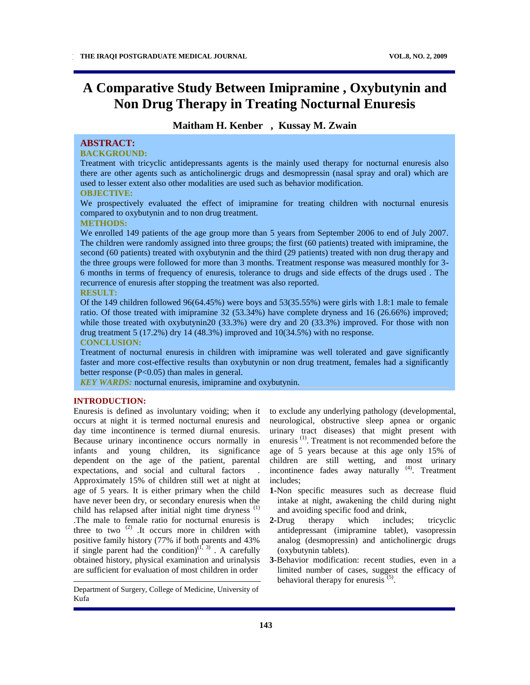# **A Comparative Study Between Imipramine , Oxybutynin and Non Drug Therapy in Treating Nocturnal Enuresis**

## **Maitham H. Kenber , Kussay M. Zwain**

## **ABSTRACT:**

## **BACKGROUND:**

Treatment with tricyclic antidepressants agents is the mainly used therapy for nocturnal enuresis also there are other agents such as anticholinergic drugs and desmopressin (nasal spray and oral) which are used to lesser extent also other modalities are used such as behavior modification.

#### **OBJECTIVE:**

We prospectively evaluated the effect of imipramine for treating children with nocturnal enuresis compared to oxybutynin and to non drug treatment.

#### **METHODS:**

We enrolled 149 patients of the age group more than 5 years from September 2006 to end of July 2007. The children were randomly assigned into three groups; the first (60 patients) treated with imipramine, the second (60 patients) treated with oxybutynin and the third (29 patients) treated with non drug therapy and the three groups were followed for more than 3 months. Treatment response was measured monthly for 3- 6 months in terms of frequency of enuresis, tolerance to drugs and side effects of the drugs used . The recurrence of enuresis after stopping the treatment was also reported.

### **RESULT:**

Of the 149 children followed 96(64.45%) were boys and 53(35.55%) were girls with 1.8:1 male to female ratio. Of those treated with imipramine 32 (53.34%) have complete dryness and 16 (26.66%) improved; while those treated with oxybutynin20 (33.3%) were dry and 20 (33.3%) improved. For those with non drug treatment 5 (17.2%) dry 14 (48.3%) improved and 10(34.5%) with no response.

#### **CONCLUSION:**

Treatment of nocturnal enuresis in children with imipramine was well tolerated and gave significantly faster and more cost-effective results than oxybutynin or non drug treatment, females had a significantly better response  $(P<0.05)$  than males in general.

*KEY WARDS:* nocturnal enuresis, imipramine and oxybutynin.

#### **INTRODUCTION:**

Enuresis is defined as involuntary voiding; when it occurs at night it is termed nocturnal enuresis and day time incontinence is termed diurnal enuresis. Because urinary incontinence occurs normally in infants and young children, its significance dependent on the age of the patient, parental expectations, and social and cultural factors . Approximately 15% of children still wet at night at age of 5 years. It is either primary when the child have never been dry, or secondary enuresis when the child has relapsed after initial night time dryness  $(1)$ .The male to female ratio for nocturnal enuresis is three to two  $(2)$ . It occurs more in children with positive family history (77% if both parents and 43% if single parent had the condition) $(1, 3)$ . A carefully obtained history, physical examination and urinalysis are sufficient for evaluation of most children in order

Department of Surgery, College of Medicine, University of Kufa

to exclude any underlying pathology (developmental, neurological, obstructive sleep apnea or organic urinary tract diseases) that might present with enuresis<sup>(1)</sup>. Treatment is not recommended before the age of 5 years because at this age only 15% of children are still wetting, and most urinary incontinence fades away naturally <sup>(4)</sup>. Treatment includes;

- **1-**Non specific measures such as decrease fluid intake at night, awakening the child during night and avoiding specific food and drink,
- **2-**Drug therapy which includes; tricyclic antidepressant (imipramine tablet), vasopressin analog (desmopressin) and anticholinergic drugs (oxybutynin tablets).
- **3-**Behavior modification: recent studies, even in a limited number of cases, suggest the efficacy of behavioral therapy for enuresis  $(5)$ .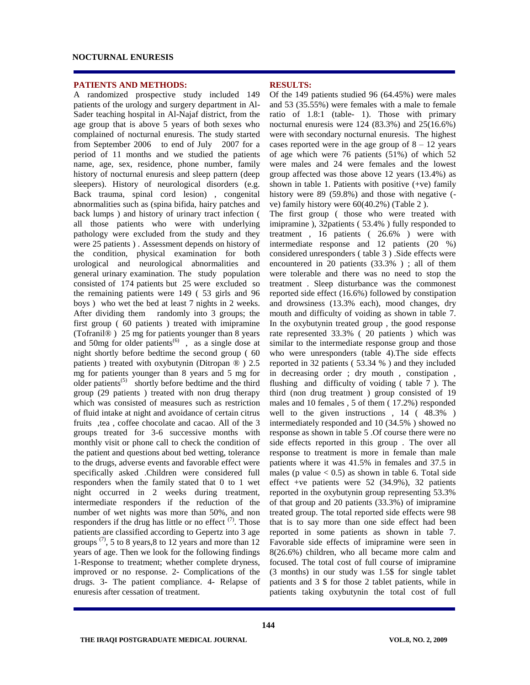#### **NOCTURNAL ENURESIS**

#### **PATIENTS AND METHODS:**

A randomized prospective study included 149 patients of the urology and surgery department in Al-Sader teaching hospital in Al-Najaf district, from the age group that is above 5 years of both sexes who complained of nocturnal enuresis. The study started from September 2006 to end of July 2007 for a period of 11 months and we studied the patients name, age, sex, residence, phone number, family history of nocturnal enuresis and sleep pattern (deep sleepers). History of neurological disorders (e.g. Back trauma, spinal cord lesion) , congenital abnormalities such as (spina bifida, hairy patches and back lumps ) and history of urinary tract infection ( all those patients who were with underlying pathology were excluded from the study and they were 25 patients ) . Assessment depends on history of the condition, physical examination for both urological and neurological abnormalities and general urinary examination. The study population consisted of 174 patients but 25 were excluded so the remaining patients were 149 ( 53 girls and 96 boys ) who wet the bed at least 7 nights in 2 weeks. After dividing them randomly into 3 groups; the first group ( 60 patients ) treated with imipramine (Tofranil® ) 25 mg for patients younger than 8 years and 50mg for older patients<sup>(6)</sup>, as a single dose at night shortly before bedtime the second group ( 60 patients ) treated with oxybutynin (Ditropan ® ) 2.5 mg for patients younger than 8 years and 5 mg for older patients<sup>(5)</sup> shortly before bedtime and the third group (29 patients ) treated with non drug therapy which was consisted of measures such as restriction of fluid intake at night and avoidance of certain citrus fruits ,tea , coffee chocolate and cacao. All of the 3 groups treated for 3-6 successive months with monthly visit or phone call to check the condition of the patient and questions about bed wetting, tolerance to the drugs, adverse events and favorable effect were specifically asked .Children were considered full responders when the family stated that 0 to 1 wet night occurred in 2 weeks during treatment, intermediate responders if the reduction of the number of wet nights was more than 50%, and non responders if the drug has little or no effect  $(7)$ . Those patients are classified according to Gepertz into 3 age groups  $(7)$ , 5 to 8 years, 8 to 12 years and more than 12 years of age. Then we look for the following findings 1-Response to treatment; whether complete dryness, improved or no response. 2- Complications of the drugs. 3- The patient compliance. 4- Relapse of enuresis after cessation of treatment.

#### **RESULTS:**

Of the 149 patients studied 96 (64.45%) were males and 53 (35.55%) were females with a male to female ratio of 1.8:1 (table- 1). Those with primary nocturnal enuresis were 124 (83.3%) and 25(16.6%) were with secondary nocturnal enuresis. The highest cases reported were in the age group of  $8 - 12$  years of age which were 76 patients (51%) of which 52 were males and 24 were females and the lowest group affected was those above 12 years (13.4%) as shown in table 1. Patients with positive  $(+ve)$  family history were 89 (59.8%) and those with negative (ve) family history were 60(40.2%) (Table 2 ).

The first group ( those who were treated with imipramine ), 32patients ( 53.4% ) fully responded to treatment , 16 patients ( 26.6% ) were with intermediate response and 12 patients (20 %) considered unresponders ( table 3 ) .Side effects were encountered in 20 patients (33.3% ) ; all of them were tolerable and there was no need to stop the treatment . Sleep disturbance was the commonest reported side effect (16.6%) followed by constipation and drowsiness (13.3% each), mood changes, dry mouth and difficulty of voiding as shown in table 7. In the oxybutynin treated group , the good response rate represented 33.3% ( 20 patients ) which was similar to the intermediate response group and those who were unresponders (table 4).The side effects reported in 32 patients ( 53.34 % ) and they included in decreasing order ; dry mouth , constipation , flushing and difficulty of voiding ( table 7 ). The third (non drug treatment ) group consisted of 19 males and 10 females , 5 of them ( 17.2%) responded well to the given instructions , 14 ( 48.3% ) intermediately responded and 10 (34.5% ) showed no response as shown in table 5 .Of course there were no side effects reported in this group . The over all response to treatment is more in female than male patients where it was 41.5% in females and 37.5 in males (p value  $< 0.5$ ) as shown in table 6. Total side effect +ve patients were 52 (34.9%), 32 patients reported in the oxybutynin group representing 53.3% of that group and 20 patients (33.3%) of imipramine treated group. The total reported side effects were 98 that is to say more than one side effect had been reported in some patients as shown in table 7. Favorable side effects of imipramine were seen in 8(26.6%) children, who all became more calm and focused. The total cost of full course of imipramine (3 months) in our study was 1.5\$ for single tablet patients and 3 \$ for those 2 tablet patients, while in patients taking oxybutynin the total cost of full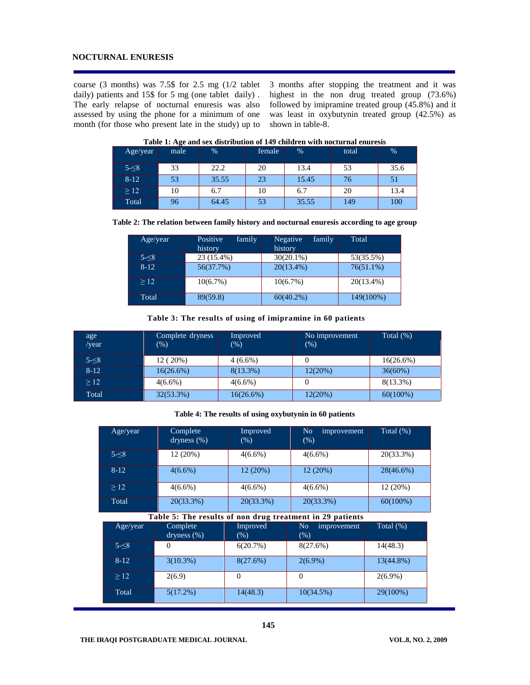#### **NOCTURNAL ENURESIS**

coarse (3 months) was 7.5\$ for 2.5 mg (1/2 tablet daily) patients and 15\$ for 5 mg (one tablet daily) . The early relapse of nocturnal enuresis was also assessed by using the phone for a minimum of one month (for those who present late in the study) up to

3 months after stopping the treatment and it was highest in the non drug treated group (73.6%) followed by imipramine treated group (45.8%) and it was least in oxybutynin treated group (42.5%) as shown in table-8.

| Age/year  | --<br>male | $\%$  | female | %     | total | $\frac{0}{0}$ |
|-----------|------------|-------|--------|-------|-------|---------------|
| $5 - 8$   | 33         | 22.2  | 20     | 13.4  | 53    | 35.6          |
| $8-12$    | 53         | 35.55 | 23     | 15.45 | 76    | 51            |
| $\geq$ 12 | 10         | 6.7   | 10     | 6.7   | 20    | 13.4          |
| Total     | 96         | 64.45 | 53     | 35.55 | 149   | 100           |

**Table 1: Age and sex distribution of 149 children with nocturnal enuresis**

|  |  |  | Table 2: The relation between family history and nocturnal enuresis according to age group |
|--|--|--|--------------------------------------------------------------------------------------------|
|--|--|--|--------------------------------------------------------------------------------------------|

| Age/year | Positive<br>family<br>history | family<br>Negative<br>history | Total        |
|----------|-------------------------------|-------------------------------|--------------|
| $5 - 8$  | 23 (15.4%)                    | $30(20.1\%)$                  | 53(35.5%)    |
| $8 - 12$ | 56(37.7%)                     | $20(13.4\%)$                  | $76(51.1\%)$ |
| >12      | 10(6.7%)                      | $10(6.7\%)$                   | $20(13.4\%)$ |
| Total    | 89(59.8)                      | $60(40.2\%)$                  | 149(100%)    |

**Table 3: The results of using of imipramine in 60 patients**

| age<br>/year | Complete dryness<br>$(\%)$ | Improved<br>$(\%)$ | No improvement<br>(% ) | Total $(\%)$ |
|--------------|----------------------------|--------------------|------------------------|--------------|
| $5 - 8$      | 12 (20%)                   | $4(6.6\%)$         |                        | 16(26.6%)    |
| $8-12$       | 16(26.6%)                  | $8(13.3\%)$        | 12(20%)                | 36(60%)      |
| >12          | $4(6.6\%)$                 | $4(6.6\%)$         |                        | $8(13.3\%)$  |
| Total        | 32(53.3%)                  | 16(26.6%)          | 12(20%)                | $60(100\%)$  |

**Table 4: The results of using oxybutynin in 60 patients**

| Age/year | Complete<br>dryness $(\%)$ | Improved<br>(%) | No<br>improvement<br>(% ) | Total (%)   |
|----------|----------------------------|-----------------|---------------------------|-------------|
| $5 - 8$  | 12(20%)                    | $4(6.6\%)$      | $4(6.6\%)$                | 20(33.3%)   |
| $8-12$   | $4(6.6\%)$                 | 12(20%)         | 12(20%)                   | 28(46.6%)   |
| >12      | $4(6.6\%)$                 | $4(6.6\%)$      | $4(6.6\%)$                | 12(20%)     |
| Total    | 20(33.3%)                  | 20(33.3%)       | 20(33.3%)                 | $60(100\%)$ |

**Table 5: The results of non drug treatment in 29 patients**

| Age/year  | Complete<br>dryness $(\%)$ | Improved<br>$(\%)$ | N <sub>o</sub><br>improvement<br>(% ) | Total $(\%)$ |
|-----------|----------------------------|--------------------|---------------------------------------|--------------|
| $5 - 8$   | 0                          | 6(20.7%)           | 8(27.6%)                              | 14(48.3)     |
| $8-12$    | 3(10.3%)                   | 8(27.6%)           | $2(6.9\%)$                            | 13(44.8%)    |
| $\geq$ 12 | 2(6.9)                     |                    | 0                                     | $2(6.9\%)$   |
| Total     | 5(17.2%)                   | 14(48.3)           | 10(34.5%)                             | 29(100%)     |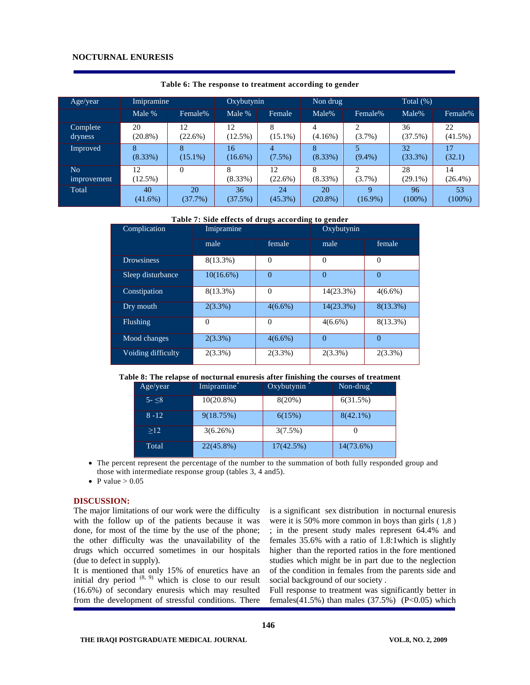| Age/year                             | Imipramine       |                  | Oxybutynin       |                  | Non drug         |                           | Total $(\%)$     |                  |
|--------------------------------------|------------------|------------------|------------------|------------------|------------------|---------------------------|------------------|------------------|
|                                      | Male %           | Female%          | Male %           | Female           | Male%            | Female%                   | Male%            | Female%          |
| Complete<br>dryness                  | 20<br>$(20.8\%)$ | 12<br>$(22.6\%)$ | 12<br>$(12.5\%)$ | $(15.1\%)$       | 4<br>$(4.16\%)$  | ↑<br>$(3.7\%)$            | 36<br>(37.5%)    | 22<br>$(41.5\%)$ |
| Improved                             | 8<br>$(8.33\%)$  | $(15.1\%)$       | 16<br>$(16.6\%)$ | 4<br>$(7.5\%)$   | 8<br>$(8.33\%)$  | $(9.4\%)$                 | 32<br>(33.3%)    | 17<br>(32.1)     |
| N <sub>o</sub><br><i>improvement</i> | 12<br>$(12.5\%)$ | $\theta$         | 8<br>$(8.33\%)$  | 12<br>$(22.6\%)$ | 8<br>$(8.33\%)$  | $(3.7\%)$                 | 28<br>$(29.1\%)$ | 14<br>$(26.4\%)$ |
| Total                                | 40<br>$(41.6\%)$ | 20<br>(37.7%)    | 36<br>(37.5%)    | 24<br>$(45.3\%)$ | 20<br>$(20.8\%)$ | $\mathbf Q$<br>$(16.9\%)$ | 96<br>$(100\%)$  | 53<br>$(100\%)$  |

**Table 6: The response to treatment according to gender**

#### **Table 7: Side effects of drugs according to gender**

| Complication       | Imipramine   |            | Oxybutynin   |             |  |
|--------------------|--------------|------------|--------------|-------------|--|
|                    | male         | female     | male         | female      |  |
| <b>Drowsiness</b>  | $8(13.3\%)$  | $\Omega$   | $\Omega$     | $\Omega$    |  |
| Sleep disturbance  | $10(16.6\%)$ | $\theta$   | $\Omega$     | $\Omega$    |  |
| Constipation       | $8(13.3\%)$  | $\Omega$   | $14(23.3\%)$ | $4(6.6\%)$  |  |
| Dry mouth          | $2(3.3\%)$   | $4(6.6\%)$ | $14(23.3\%)$ | $8(13.3\%)$ |  |
| Flushing           | $\Omega$     | $\Omega$   | $4(6.6\%)$   | 8(13.3%)    |  |
| Mood changes       | $2(3.3\%)$   | $4(6.6\%)$ | $\Omega$     | $\Omega$    |  |
| Voiding difficulty | $2(3.3\%)$   | $2(3.3\%)$ | $2(3.3\%)$   | $2(3.3\%)$  |  |

#### **Table 8: The relapse of nocturnal enuresis after finishing the courses of treatment**

| Age/year     | Imipramine   | Oxybutynin | $Non-drug$  |
|--------------|--------------|------------|-------------|
| $5 - \leq 8$ | $10(20.8\%)$ | $8(20\%)$  | 6(31.5%)    |
| $8 - 12$     | 9(18.75%)    | 6(15%)     | $8(42.1\%)$ |
| >12          | 3(6.26%)     | 3(7.5%)    |             |
| Total        | $22(45.8\%)$ | 17(42.5%)  | 14(73.6%)   |

 The percent represent the percentage of the number to the summation of both fully responded group and those with intermediate response group (tables 3, 4 and5).

**146**

• P value  $> 0.05$ 

#### **DISCUSSION:**

The major limitations of our work were the difficulty with the follow up of the patients because it was done, for most of the time by the use of the phone; the other difficulty was the unavailability of the drugs which occurred sometimes in our hospitals (due to defect in supply).

It is mentioned that only 15% of enuretics have an initial dry period  $(8, 9)$  which is close to our result (16.6%) of secondary enuresis which may resulted from the development of stressful conditions. There

is a significant sex distribution in nocturnal enuresis were it is 50% more common in boys than girls ( 1,8 ) ; in the present study males represent 64.4% and females 35.6% with a ratio of 1.8:1which is slightly higher than the reported ratios in the fore mentioned studies which might be in part due to the neglection of the condition in females from the parents side and social background of our society .

Full response to treatment was significantly better in females(41.5%) than males (37.5%) (P<0.05) which